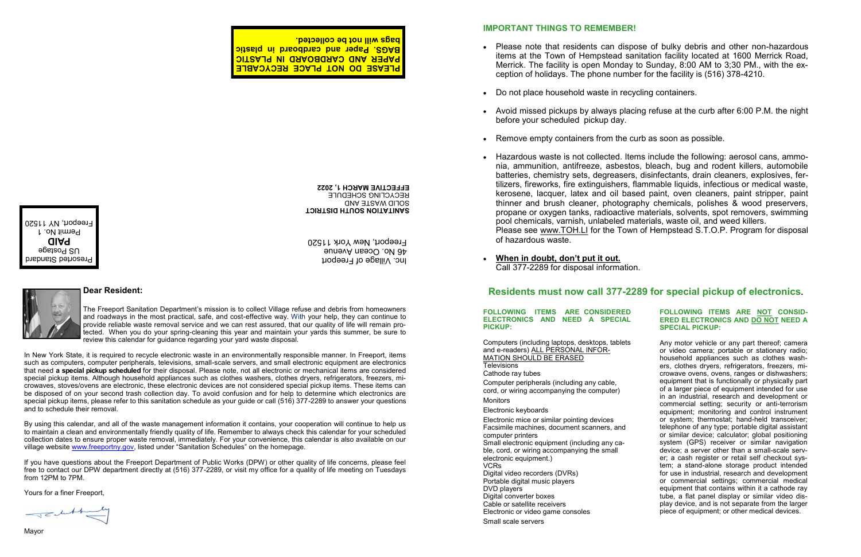## **IMPORTANT THINGS TO REMEMBER!**

• Please note that residents can dispose of bulky debris and other non-hazardous items at the Town of Hempstead sanitation facility located at 1600 Merrick Road, Merrick. The facility is open Monday to Sunday, 8:00 AM to 3;30 PM., with the ex-

Avoid missed pickups by always placing refuse at the curb after 6:00 P.M. the night

- ception of holidays. The phone number for the facility is (516) 378-4210.
- Do not place household waste in recycling containers.
- before your scheduled pickup day.
- Remove empty containers from the curb as soon as possible.
- 0 pool chemicals, varnish, unlabeled materials, waste oil, and weed killers. of hazardous waste.
- 0 **When in doubt, don't put it out.** Call 377-2289 for disposal information.

 Hazardous waste is not collected. Items include the following: aerosol cans, ammonia, ammunition, antifreeze, asbestos, bleach, bug and rodent killers, automobile batteries, chemistry sets, degreasers, disinfectants, drain cleaners, explosives, fertilizers, fireworks, fire extinguishers, flammable liquids, infectious or medical waste, kerosene, lacquer, latex and oil based paint, oven cleaners, paint stripper, paint thinner and brush cleaner, photography chemicals, polishes & wood preservers, propane or oxygen tanks, radioactive materials, solvents, spot removers, swimming

Please see www.TOH.LI for the Town of Hempstead S.T.O.P. Program for disposal

**FOLLOWING ITEMS ARE CONSIDERED ELECTRONICS AND NEED A SPECIAL PICKUP:**

Computers (including laptops, desktops, tablets and e-readers) ALL PERSONAL INFOR-MATION SHOULD BE ERASED **Televisions** Cathode ray tubes Computer peripherals (including any cable, cord, or wiring accompanying the computer) **Monitors** Electronic keyboards Electronic mice or similar pointing devices Facsimile machines, document scanners, and computer printers Small electronic equipment (including any cable, cord, or wiring accompanying the small electronic equipment.) VCRs Digital video recorders (DVRs) Portable digital music players DVD players Digital converter boxes Cable or satellite receivers Electronic or video game consoles Small scale servers

### **FOLLOWING ITEMS ARE NOT CONSID-ERED ELECTRONICS AND DO NOT NEED A SPECIAL PICKUP:**

Any motor vehicle or any part thereof; camera or video camera; portable or stationary radio; household appliances such as clothes washers, clothes dryers, refrigerators, freezers, microwave ovens, ovens, ranges or dishwashers; equipment that is functionally or physically part of a larger piece of equipment intended for use in an industrial, research and development or commercial setting; security or anti-terrorism equipment; monitoring and control instrument or system; thermostat; hand-held transceiver; telephone of any type; portable digital assistant or similar device; calculator; global positioning system (GPS) receiver or similar navigation device; a server other than a small-scale server; a cash register or retail self checkout system; a stand-alone storage product intended for use in industrial, research and development or commercial settings; commercial medical equipment that contains within it a cathode ray tube, a flat panel display or similar video display device, and is not separate from the larger piece of equipment; or other medical devices.

# **Dear Resident: Residents must now call 377-2289 for special pickup of electronics.**

The Freeport Sanitation Department's mission is to collect Village refuse and debris from homeowners and roadways in the most practical, safe, and cost-effective way. With your help, they can continue to provide reliable waste removal service and we can rest assured, that our quality of life will remain protected. When you do your spring-cleaning this year and maintain your yards this summer, be sure to review this calendar for guidance regarding your yard waste disposal.

In New York State, it is required to recycle electronic waste in an environmentally responsible manner. In Freeport, items such as computers, computer peripherals, televisions, small-scale servers, and small electronic equipment are electronics that need **a special pickup scheduled** for their disposal. Please note, not all electronic or mechanical items are considered special pickup items. Although household appliances such as clothes washers, clothes dryers, refrigerators, freezers, microwaves, stoves/ovens are electronic, these electronic devices are not considered special pickup items. These items can be disposed of on your second trash collection day. To avoid confusion and for help to determine which electronics are special pickup items, please refer to this sanitation schedule as your guide or call (516) 377-2289 to answer your questions and to schedule their removal.

By using this calendar, and all of the waste management information it contains, your cooperation will continue to help us to maintain a clean and environmentally friendly quality of life. Remember to always check this calendar for your scheduled collection dates to ensure proper waste removal, immediately. For your convenience, this calendar is also available on our village website [www.freeportny.gov,](http://www.freeportny.gov) listed under "Sanitation Schedules" on the homepage.

If you have questions about the Freeport Department of Public Works (DPW) or other quality of life concerns, please feel free to contact our DPW department directly at (516) 377-2289, or visit my office for a quality of life meeting on Tuesdays from 12PM to 7PM.

Yours for a finer Freeport,

 $\begin{picture}(120,10) \put(0,0){\line(1,0){10}} \put(15,0){\line(1,0){10}} \put(15,0){\line(1,0){10}} \put(15,0){\line(1,0){10}} \put(15,0){\line(1,0){10}} \put(15,0){\line(1,0){10}} \put(15,0){\line(1,0){10}} \put(15,0){\line(1,0){10}} \put(15,0){\line(1,0){10}} \put(15,0){\line(1,0){10}} \put(15,0){\line(1,0){10}} \put(15,0){\line($ 

Inc. Village of Freeport 46 No. Ocean Avenue Freeport, New York 11520

**PLEASE DO NOT PLACE RECYCABLE PAPER AND CARDBOARD IN PLASTIC BAGS. Paper and cardboard in plastic bags will not be collected.**





**SANITATION SOUTH DISTRICT** SOLID WASTE AND RECYCLING SCHEDULE **EFFECTIVE MARCH 1, 2022**